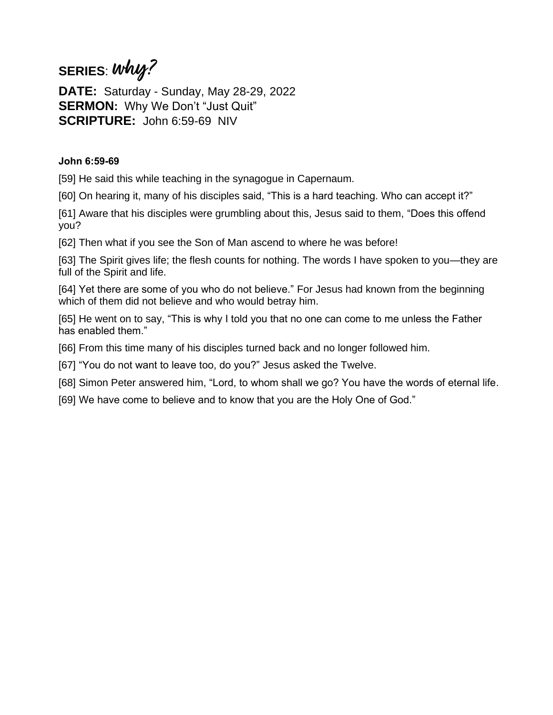## **SERIES**: **why?**

**DATE:** Saturday - Sunday, May 28-29, 2022 **SERMON:** Why We Don't "Just Quit" **SCRIPTURE:** John 6:59-69 NIV

## **John 6:59-69**

[59] He said this while teaching in the synagogue in Capernaum.

[60] On hearing it, many of his disciples said, "This is a hard teaching. Who can accept it?"

[61] Aware that his disciples were grumbling about this, Jesus said to them, "Does this offend you?

[62] Then what if you see the Son of Man ascend to where he was before!

[63] The Spirit gives life; the flesh counts for nothing. The words I have spoken to you—they are full of the Spirit and life.

[64] Yet there are some of you who do not believe." For Jesus had known from the beginning which of them did not believe and who would betray him.

[65] He went on to say, "This is why I told you that no one can come to me unless the Father has enabled them."

[66] From this time many of his disciples turned back and no longer followed him.

[67] "You do not want to leave too, do you?" Jesus asked the Twelve.

[68] Simon Peter answered him, "Lord, to whom shall we go? You have the words of eternal life.

[69] We have come to believe and to know that you are the Holy One of God."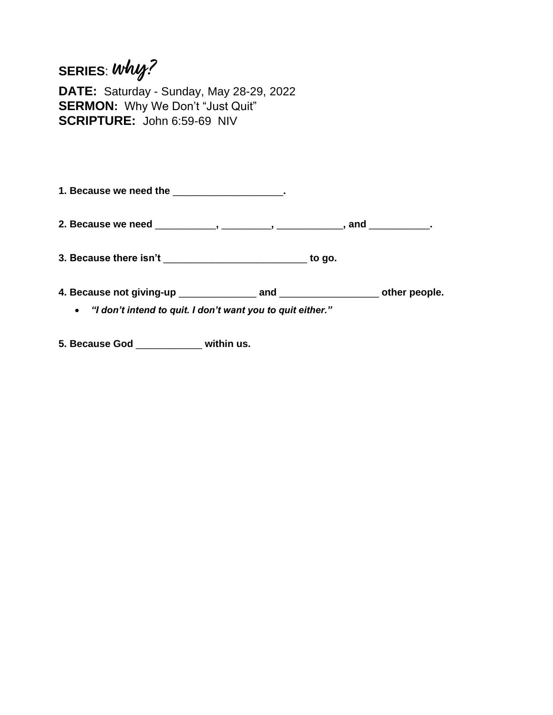## **SERIES**: **why?**

**DATE:** Saturday - Sunday, May 28-29, 2022 **SERMON:** Why We Don't "Just Quit" **SCRIPTURE:** John 6:59-69 NIV

**1. Because we need the** \_\_\_\_\_\_\_\_\_\_\_\_\_\_\_\_\_\_\_\_**.**

**2. Because we need** \_\_\_\_\_\_\_\_\_\_\_**,** \_\_\_\_\_\_\_\_\_**,** \_\_\_\_\_\_\_\_\_\_\_\_**, and** \_\_\_\_\_\_\_\_\_\_\_**.**

**3. Because there isn't** \_\_\_\_\_\_\_\_\_\_\_\_\_\_\_\_\_\_\_\_\_\_\_\_\_\_ **to go.**

**4. Because not giving-up** \_\_\_\_\_\_\_\_\_\_\_\_\_\_ **and** \_\_\_\_\_\_\_\_\_\_\_\_\_\_\_\_\_\_ **other people.**

• *"I don't intend to quit. I don't want you to quit either."*

**5. Because God** \_\_\_\_\_\_\_\_\_\_\_\_ **within us.**